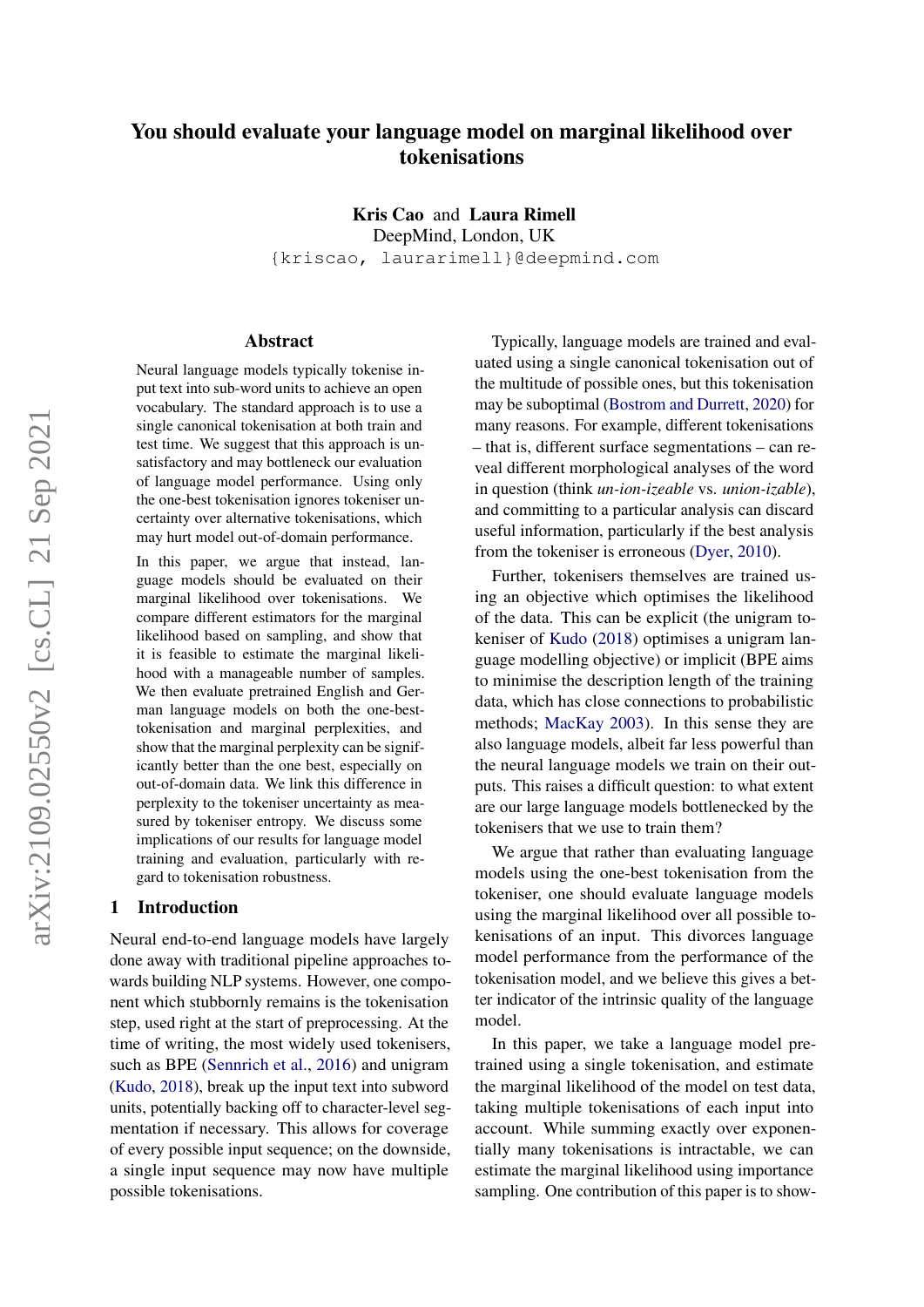# You should evaluate your language model on marginal likelihood over tokenisations

Kris Cao and Laura Rimell

DeepMind, London, UK

{kriscao, laurarimell}@deepmind.com

#### Abstract

Neural language models typically tokenise input text into sub-word units to achieve an open vocabulary. The standard approach is to use a single canonical tokenisation at both train and test time. We suggest that this approach is unsatisfactory and may bottleneck our evaluation of language model performance. Using only the one-best tokenisation ignores tokeniser uncertainty over alternative tokenisations, which may hurt model out-of-domain performance.

In this paper, we argue that instead, language models should be evaluated on their marginal likelihood over tokenisations. We compare different estimators for the marginal likelihood based on sampling, and show that it is feasible to estimate the marginal likelihood with a manageable number of samples. We then evaluate pretrained English and German language models on both the one-besttokenisation and marginal perplexities, and show that the marginal perplexity can be significantly better than the one best, especially on out-of-domain data. We link this difference in perplexity to the tokeniser uncertainty as measured by tokeniser entropy. We discuss some implications of our results for language model training and evaluation, particularly with regard to tokenisation robustness.

### 1 Introduction

Neural end-to-end language models have largely done away with traditional pipeline approaches towards building NLP systems. However, one component which stubbornly remains is the tokenisation step, used right at the start of preprocessing. At the time of writing, the most widely used tokenisers, such as BPE [\(Sennrich et al.,](#page-10-0) [2016\)](#page-10-0) and unigram [\(Kudo,](#page-9-0) [2018\)](#page-9-0), break up the input text into subword units, potentially backing off to character-level segmentation if necessary. This allows for coverage of every possible input sequence; on the downside, a single input sequence may now have multiple possible tokenisations.

Typically, language models are trained and evaluated using a single canonical tokenisation out of the multitude of possible ones, but this tokenisation may be suboptimal [\(Bostrom and Durrett,](#page-8-0) [2020\)](#page-8-0) for many reasons. For example, different tokenisations – that is, different surface segmentations – can reveal different morphological analyses of the word in question (think *un-ion-izeable* vs. *union-izable*), and committing to a particular analysis can discard useful information, particularly if the best analysis from the tokeniser is erroneous [\(Dyer,](#page-9-1) [2010\)](#page-9-1).

Further, tokenisers themselves are trained using an objective which optimises the likelihood of the data. This can be explicit (the unigram tokeniser of [Kudo](#page-9-0) [\(2018\)](#page-9-0) optimises a unigram language modelling objective) or implicit (BPE aims to minimise the description length of the training data, which has close connections to probabilistic methods; [MacKay](#page-9-2) [2003\)](#page-9-2). In this sense they are also language models, albeit far less powerful than the neural language models we train on their outputs. This raises a difficult question: to what extent are our large language models bottlenecked by the tokenisers that we use to train them?

We argue that rather than evaluating language models using the one-best tokenisation from the tokeniser, one should evaluate language models using the marginal likelihood over all possible tokenisations of an input. This divorces language model performance from the performance of the tokenisation model, and we believe this gives a better indicator of the intrinsic quality of the language model.

In this paper, we take a language model pretrained using a single tokenisation, and estimate the marginal likelihood of the model on test data, taking multiple tokenisations of each input into account. While summing exactly over exponentially many tokenisations is intractable, we can estimate the marginal likelihood using importance sampling. One contribution of this paper is to show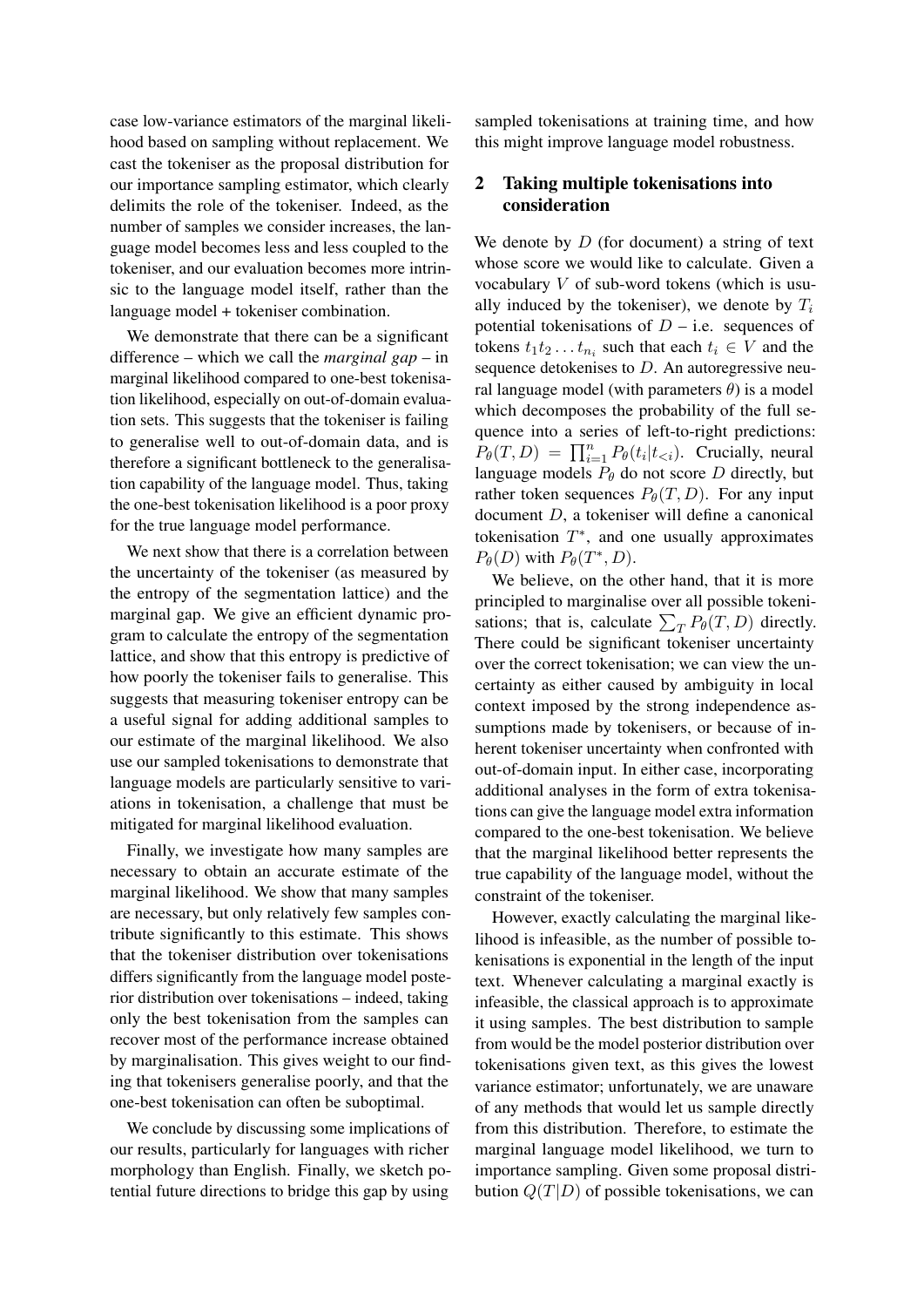case low-variance estimators of the marginal likelihood based on sampling without replacement. We cast the tokeniser as the proposal distribution for our importance sampling estimator, which clearly delimits the role of the tokeniser. Indeed, as the number of samples we consider increases, the language model becomes less and less coupled to the tokeniser, and our evaluation becomes more intrinsic to the language model itself, rather than the language model + tokeniser combination.

We demonstrate that there can be a significant difference – which we call the *marginal gap* – in marginal likelihood compared to one-best tokenisation likelihood, especially on out-of-domain evaluation sets. This suggests that the tokeniser is failing to generalise well to out-of-domain data, and is therefore a significant bottleneck to the generalisation capability of the language model. Thus, taking the one-best tokenisation likelihood is a poor proxy for the true language model performance.

We next show that there is a correlation between the uncertainty of the tokeniser (as measured by the entropy of the segmentation lattice) and the marginal gap. We give an efficient dynamic program to calculate the entropy of the segmentation lattice, and show that this entropy is predictive of how poorly the tokeniser fails to generalise. This suggests that measuring tokeniser entropy can be a useful signal for adding additional samples to our estimate of the marginal likelihood. We also use our sampled tokenisations to demonstrate that language models are particularly sensitive to variations in tokenisation, a challenge that must be mitigated for marginal likelihood evaluation.

Finally, we investigate how many samples are necessary to obtain an accurate estimate of the marginal likelihood. We show that many samples are necessary, but only relatively few samples contribute significantly to this estimate. This shows that the tokeniser distribution over tokenisations differs significantly from the language model posterior distribution over tokenisations – indeed, taking only the best tokenisation from the samples can recover most of the performance increase obtained by marginalisation. This gives weight to our finding that tokenisers generalise poorly, and that the one-best tokenisation can often be suboptimal.

We conclude by discussing some implications of our results, particularly for languages with richer morphology than English. Finally, we sketch potential future directions to bridge this gap by using sampled tokenisations at training time, and how this might improve language model robustness.

## <span id="page-1-0"></span>2 Taking multiple tokenisations into consideration

We denote by  $D$  (for document) a string of text whose score we would like to calculate. Given a vocabulary V of sub-word tokens (which is usually induced by the tokeniser), we denote by  $T_i$ potential tokenisations of  $D - i.e.$  sequences of tokens  $t_1 t_2 \dots t_{n_i}$  such that each  $t_i \in V$  and the sequence detokenises to D. An autoregressive neural language model (with parameters  $\theta$ ) is a model which decomposes the probability of the full sequence into a series of left-to-right predictions:  $P_{\theta}(T, D) = \prod_{i=1}^{n} P_{\theta}(t_i | t_{\leq i})$ . Crucially, neural language models  $P_{\theta}$  do not score D directly, but rather token sequences  $P_{\theta}(T, D)$ . For any input document D, a tokeniser will define a canonical tokenisation  $T^*$ , and one usually approximates  $P_{\theta}(D)$  with  $P_{\theta}(T^*, D)$ .

We believe, on the other hand, that it is more principled to marginalise over all possible tokenisations; that is, calculate  $\sum_{T} P_{\theta}(T, D)$  directly. There could be significant tokeniser uncertainty over the correct tokenisation; we can view the uncertainty as either caused by ambiguity in local context imposed by the strong independence assumptions made by tokenisers, or because of inherent tokeniser uncertainty when confronted with out-of-domain input. In either case, incorporating additional analyses in the form of extra tokenisations can give the language model extra information compared to the one-best tokenisation. We believe that the marginal likelihood better represents the true capability of the language model, without the constraint of the tokeniser.

However, exactly calculating the marginal likelihood is infeasible, as the number of possible tokenisations is exponential in the length of the input text. Whenever calculating a marginal exactly is infeasible, the classical approach is to approximate it using samples. The best distribution to sample from would be the model posterior distribution over tokenisations given text, as this gives the lowest variance estimator; unfortunately, we are unaware of any methods that would let us sample directly from this distribution. Therefore, to estimate the marginal language model likelihood, we turn to importance sampling. Given some proposal distribution  $Q(T|D)$  of possible tokenisations, we can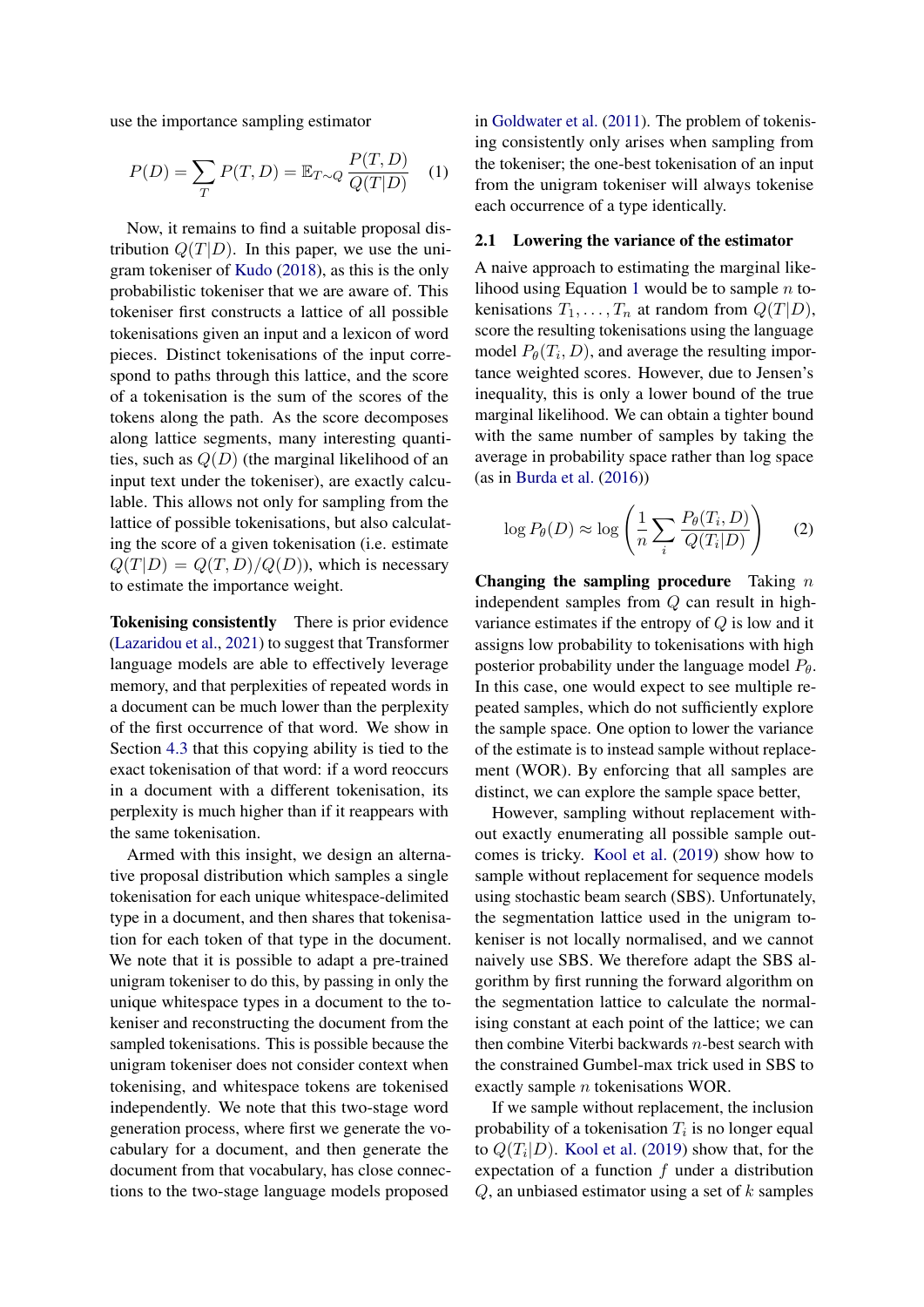use the importance sampling estimator

$$
P(D) = \sum_{T} P(T, D) = \mathbb{E}_{T \sim Q} \frac{P(T, D)}{Q(T|D)} \quad (1)
$$

Now, it remains to find a suitable proposal distribution  $Q(T|D)$ . In this paper, we use the unigram tokeniser of [Kudo](#page-9-0) [\(2018\)](#page-9-0), as this is the only probabilistic tokeniser that we are aware of. This tokeniser first constructs a lattice of all possible tokenisations given an input and a lexicon of word pieces. Distinct tokenisations of the input correspond to paths through this lattice, and the score of a tokenisation is the sum of the scores of the tokens along the path. As the score decomposes along lattice segments, many interesting quantities, such as  $Q(D)$  (the marginal likelihood of an input text under the tokeniser), are exactly calculable. This allows not only for sampling from the lattice of possible tokenisations, but also calculating the score of a given tokenisation (i.e. estimate  $Q(T|D) = Q(T,D)/Q(D)$ , which is necessary to estimate the importance weight.

Tokenising consistently There is prior evidence [\(Lazaridou et al.,](#page-9-3) [2021\)](#page-9-3) to suggest that Transformer language models are able to effectively leverage memory, and that perplexities of repeated words in a document can be much lower than the perplexity of the first occurrence of that word. We show in Section [4.3](#page-5-0) that this copying ability is tied to the exact tokenisation of that word: if a word reoccurs in a document with a different tokenisation, its perplexity is much higher than if it reappears with the same tokenisation.

Armed with this insight, we design an alternative proposal distribution which samples a single tokenisation for each unique whitespace-delimited type in a document, and then shares that tokenisation for each token of that type in the document. We note that it is possible to adapt a pre-trained unigram tokeniser to do this, by passing in only the unique whitespace types in a document to the tokeniser and reconstructing the document from the sampled tokenisations. This is possible because the unigram tokeniser does not consider context when tokenising, and whitespace tokens are tokenised independently. We note that this two-stage word generation process, where first we generate the vocabulary for a document, and then generate the document from that vocabulary, has close connections to the two-stage language models proposed

<span id="page-2-0"></span>in [Goldwater et al.](#page-9-4) [\(2011\)](#page-9-4). The problem of tokenising consistently only arises when sampling from the tokeniser; the one-best tokenisation of an input from the unigram tokeniser will always tokenise each occurrence of a type identically.

#### 2.1 Lowering the variance of the estimator

A naive approach to estimating the marginal like-lihood using Equation [1](#page-2-0) would be to sample  $n$  tokenisations  $T_1, \ldots, T_n$  at random from  $Q(T|D)$ , score the resulting tokenisations using the language model  $P_{\theta}(T_i, D)$ , and average the resulting importance weighted scores. However, due to Jensen's inequality, this is only a lower bound of the true marginal likelihood. We can obtain a tighter bound with the same number of samples by taking the average in probability space rather than log space (as in [Burda et al.](#page-8-1) [\(2016\)](#page-8-1))

$$
\log P_{\theta}(D) \approx \log \left( \frac{1}{n} \sum_{i} \frac{P_{\theta}(T_i, D)}{Q(T_i|D)} \right) \tag{2}
$$

Changing the sampling procedure Taking  $n$ independent samples from Q can result in highvariance estimates if the entropy of  $Q$  is low and it assigns low probability to tokenisations with high posterior probability under the language model  $P_{\theta}$ . In this case, one would expect to see multiple repeated samples, which do not sufficiently explore the sample space. One option to lower the variance of the estimate is to instead sample without replacement (WOR). By enforcing that all samples are distinct, we can explore the sample space better,

However, sampling without replacement without exactly enumerating all possible sample outcomes is tricky. [Kool et al.](#page-9-5) [\(2019\)](#page-9-5) show how to sample without replacement for sequence models using stochastic beam search (SBS). Unfortunately, the segmentation lattice used in the unigram tokeniser is not locally normalised, and we cannot naively use SBS. We therefore adapt the SBS algorithm by first running the forward algorithm on the segmentation lattice to calculate the normalising constant at each point of the lattice; we can then combine Viterbi backwards n-best search with the constrained Gumbel-max trick used in SBS to exactly sample n tokenisations WOR.

If we sample without replacement, the inclusion probability of a tokenisation  $T_i$  is no longer equal to  $Q(T_i|D)$ . [Kool et al.](#page-9-5) [\(2019\)](#page-9-5) show that, for the expectation of a function  $f$  under a distribution  $Q$ , an unbiased estimator using a set of  $k$  samples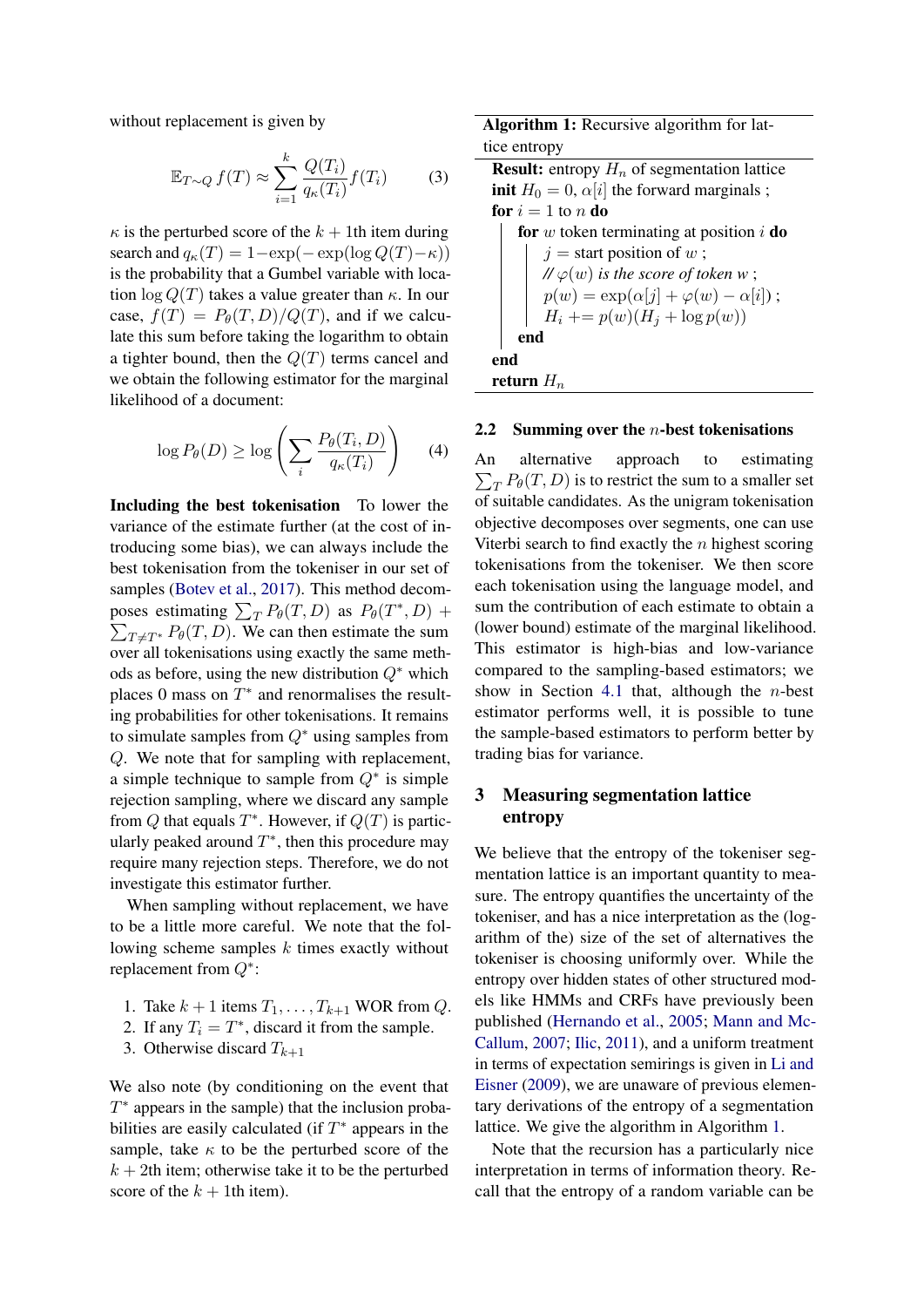without replacement is given by

$$
\mathbb{E}_{T \sim Q} f(T) \approx \sum_{i=1}^{k} \frac{Q(T_i)}{q_{\kappa}(T_i)} f(T_i)
$$
 (3)

 $\kappa$  is the perturbed score of the  $k + 1$ th item during search and  $q_{\kappa}(T) = 1 - \exp(-\exp(\log Q(T)-\kappa))$ is the probability that a Gumbel variable with location  $\log Q(T)$  takes a value greater than  $\kappa$ . In our case,  $f(T) = P_{\theta}(T, D)/Q(T)$ , and if we calculate this sum before taking the logarithm to obtain a tighter bound, then the  $Q(T)$  terms cancel and we obtain the following estimator for the marginal likelihood of a document:

$$
\log P_{\theta}(D) \ge \log \left( \sum_{i} \frac{P_{\theta}(T_i, D)}{q_{\kappa}(T_i)} \right) \tag{4}
$$

Including the best tokenisation To lower the variance of the estimate further (at the cost of introducing some bias), we can always include the best tokenisation from the tokeniser in our set of samples [\(Botev et al.,](#page-8-2) [2017\)](#page-8-2). This method decomposes estimating  $\sum_{T} P_{\theta}(T, D)$  as  $P_{\theta}(T^*, D)$  +  $\sum_{T \neq T^*} P_{\theta}(T, D)$ . We can then estimate the sum over all tokenisations using exactly the same methods as before, using the new distribution  $Q^*$  which places 0 mass on  $T^*$  and renormalises the resulting probabilities for other tokenisations. It remains to simulate samples from  $Q^*$  using samples from Q. We note that for sampling with replacement, a simple technique to sample from  $Q^*$  is simple rejection sampling, where we discard any sample from Q that equals  $T^*$ . However, if  $Q(T)$  is particularly peaked around  $T^*$ , then this procedure may require many rejection steps. Therefore, we do not investigate this estimator further.

When sampling without replacement, we have to be a little more careful. We note that the following scheme samples  $k$  times exactly without replacement from Q<sup>∗</sup> :

- 1. Take  $k + 1$  items  $T_1, \ldots, T_{k+1}$  WOR from Q.
- 2. If any  $T_i = T^*$ , discard it from the sample.
- 3. Otherwise discard  $T_{k+1}$

We also note (by conditioning on the event that  $T^*$  appears in the sample) that the inclusion probabilities are easily calculated (if  $T^*$  appears in the sample, take  $\kappa$  to be the perturbed score of the  $k + 2$ th item; otherwise take it to be the perturbed score of the  $k + 1$ th item).

Algorithm 1: Recursive algorithm for lattice entropy **Result:** entropy  $H_n$  of segmentation lattice **init**  $H_0 = 0$ ,  $\alpha[i]$  the forward marginals; for  $i = 1$  to n do for  $w$  token terminating at position  $i$  do  $j =$  start position of  $w$ ;

$$
\begin{array}{c}\n\mathcal{U}\varphi(w) \text{ is the score of token } w ; \\
p(w) = \exp(\alpha[j] + \varphi(w) - \alpha[i]); \\
H_i + \equiv p(w)(H_j + \log p(w)) \\
\text{end}\n\end{array}
$$

<span id="page-3-0"></span>return  $H_n$ 

#### 2.2 Summing over the  $n$ -best tokenisations

An alternative approach to estimating  $\sum_{T} P_{\theta}(T, D)$  is to restrict the sum to a smaller set of suitable candidates. As the unigram tokenisation objective decomposes over segments, one can use Viterbi search to find exactly the  $n$  highest scoring tokenisations from the tokeniser. We then score each tokenisation using the language model, and sum the contribution of each estimate to obtain a (lower bound) estimate of the marginal likelihood. This estimator is high-bias and low-variance compared to the sampling-based estimators; we show in Section [4.1](#page-4-0) that, although the  $n$ -best estimator performs well, it is possible to tune the sample-based estimators to perform better by trading bias for variance.

## 3 Measuring segmentation lattice entropy

We believe that the entropy of the tokeniser segmentation lattice is an important quantity to measure. The entropy quantifies the uncertainty of the tokeniser, and has a nice interpretation as the (logarithm of the) size of the set of alternatives the tokeniser is choosing uniformly over. While the entropy over hidden states of other structured models like HMMs and CRFs have previously been published [\(Hernando et al.,](#page-9-6) [2005;](#page-9-6) [Mann and Mc-](#page-9-7)[Callum,](#page-9-7) [2007;](#page-9-7) [Ilic,](#page-9-8) [2011\)](#page-9-8), and a uniform treatment in terms of expectation semirings is given in [Li and](#page-9-9) [Eisner](#page-9-9) [\(2009\)](#page-9-9), we are unaware of previous elementary derivations of the entropy of a segmentation lattice. We give the algorithm in Algorithm [1.](#page-3-0)

Note that the recursion has a particularly nice interpretation in terms of information theory. Recall that the entropy of a random variable can be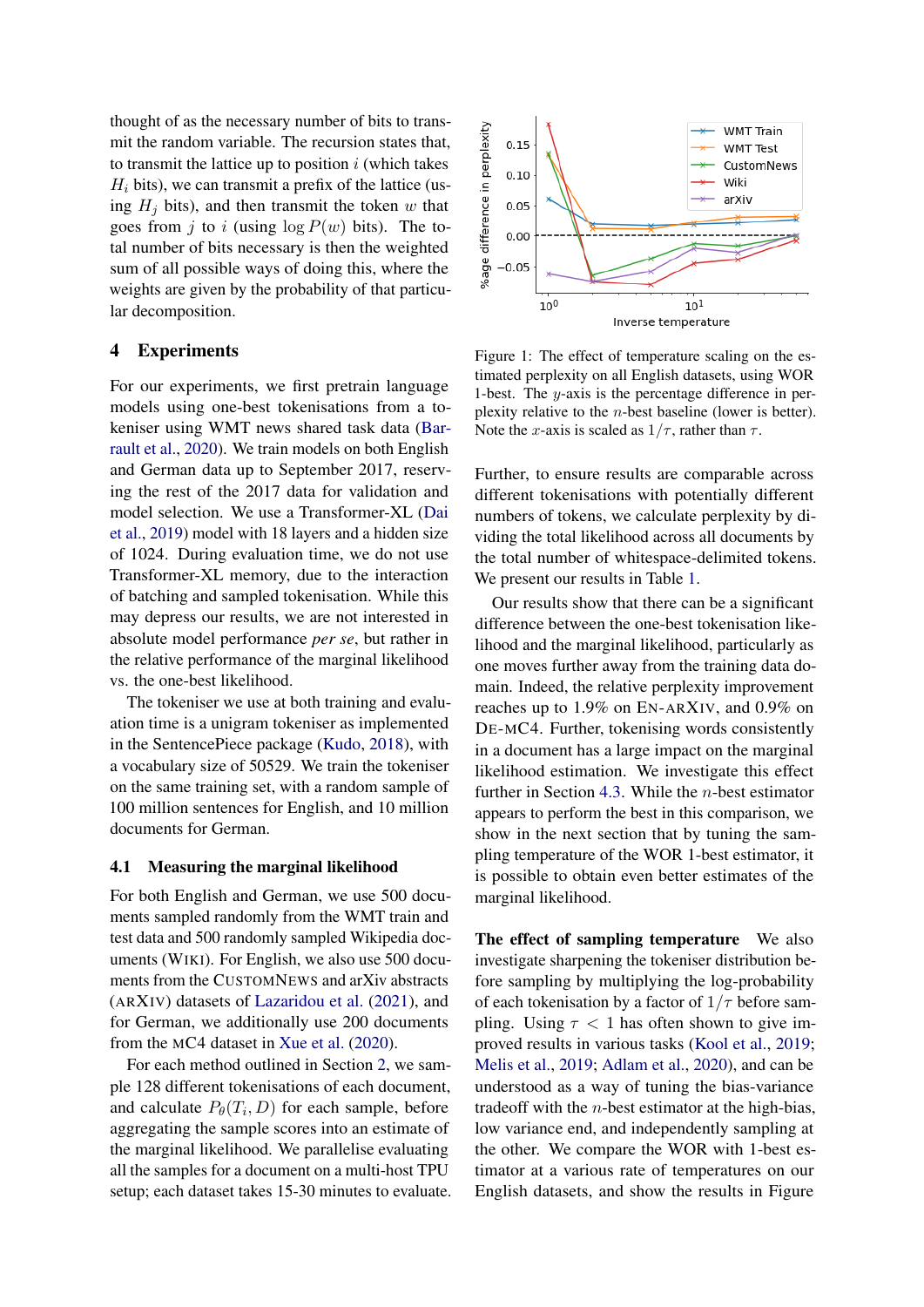thought of as the necessary number of bits to transmit the random variable. The recursion states that, to transmit the lattice up to position  $i$  (which takes  $H_i$  bits), we can transmit a prefix of the lattice (using  $H_i$  bits), and then transmit the token w that goes from j to i (using  $\log P(w)$  bits). The total number of bits necessary is then the weighted sum of all possible ways of doing this, where the weights are given by the probability of that particular decomposition.

#### 4 Experiments

For our experiments, we first pretrain language models using one-best tokenisations from a tokeniser using WMT news shared task data [\(Bar](#page-8-3)[rault et al.,](#page-8-3) [2020\)](#page-8-3). We train models on both English and German data up to September 2017, reserving the rest of the 2017 data for validation and model selection. We use a Transformer-XL [\(Dai](#page-8-4) [et al.,](#page-8-4) [2019\)](#page-8-4) model with 18 layers and a hidden size of 1024. During evaluation time, we do not use Transformer-XL memory, due to the interaction of batching and sampled tokenisation. While this may depress our results, we are not interested in absolute model performance *per se*, but rather in the relative performance of the marginal likelihood vs. the one-best likelihood.

The tokeniser we use at both training and evaluation time is a unigram tokeniser as implemented in the SentencePiece package [\(Kudo,](#page-9-0) [2018\)](#page-9-0), with a vocabulary size of 50529. We train the tokeniser on the same training set, with a random sample of 100 million sentences for English, and 10 million documents for German.

#### <span id="page-4-0"></span>4.1 Measuring the marginal likelihood

For both English and German, we use 500 documents sampled randomly from the WMT train and test data and 500 randomly sampled Wikipedia documents (WIKI). For English, we also use 500 documents from the CUSTOMNEWS and arXiv abstracts (ARXIV) datasets of [Lazaridou et al.](#page-9-3) [\(2021\)](#page-9-3), and for German, we additionally use 200 documents from the MC4 dataset in [Xue et al.](#page-10-1) [\(2020\)](#page-10-1).

For each method outlined in Section [2,](#page-1-0) we sample 128 different tokenisations of each document, and calculate  $P_{\theta}(T_i, D)$  for each sample, before aggregating the sample scores into an estimate of the marginal likelihood. We parallelise evaluating all the samples for a document on a multi-host TPU setup; each dataset takes 15-30 minutes to evaluate.

<span id="page-4-1"></span>

Figure 1: The effect of temperature scaling on the estimated perplexity on all English datasets, using WOR 1-best. The y-axis is the percentage difference in perplexity relative to the n-best baseline (lower is better). Note the x-axis is scaled as  $1/\tau$ , rather than  $\tau$ .

Further, to ensure results are comparable across different tokenisations with potentially different numbers of tokens, we calculate perplexity by dividing the total likelihood across all documents by the total number of whitespace-delimited tokens. We present our results in Table [1.](#page-5-1)

Our results show that there can be a significant difference between the one-best tokenisation likelihood and the marginal likelihood, particularly as one moves further away from the training data domain. Indeed, the relative perplexity improvement reaches up to 1.9% on EN-ARXIV, and 0.9% on DE-MC4. Further, tokenising words consistently in a document has a large impact on the marginal likelihood estimation. We investigate this effect further in Section [4.3.](#page-5-0) While the *n*-best estimator appears to perform the best in this comparison, we show in the next section that by tuning the sampling temperature of the WOR 1-best estimator, it is possible to obtain even better estimates of the marginal likelihood.

The effect of sampling temperature We also investigate sharpening the tokeniser distribution before sampling by multiplying the log-probability of each tokenisation by a factor of  $1/\tau$  before sampling. Using  $\tau$  < 1 has often shown to give improved results in various tasks [\(Kool et al.,](#page-9-5) [2019;](#page-9-5) [Melis et al.,](#page-9-10) [2019;](#page-9-10) [Adlam et al.,](#page-8-5) [2020\)](#page-8-5), and can be understood as a way of tuning the bias-variance tradeoff with the  $n$ -best estimator at the high-bias, low variance end, and independently sampling at the other. We compare the WOR with 1-best estimator at a various rate of temperatures on our English datasets, and show the results in Figure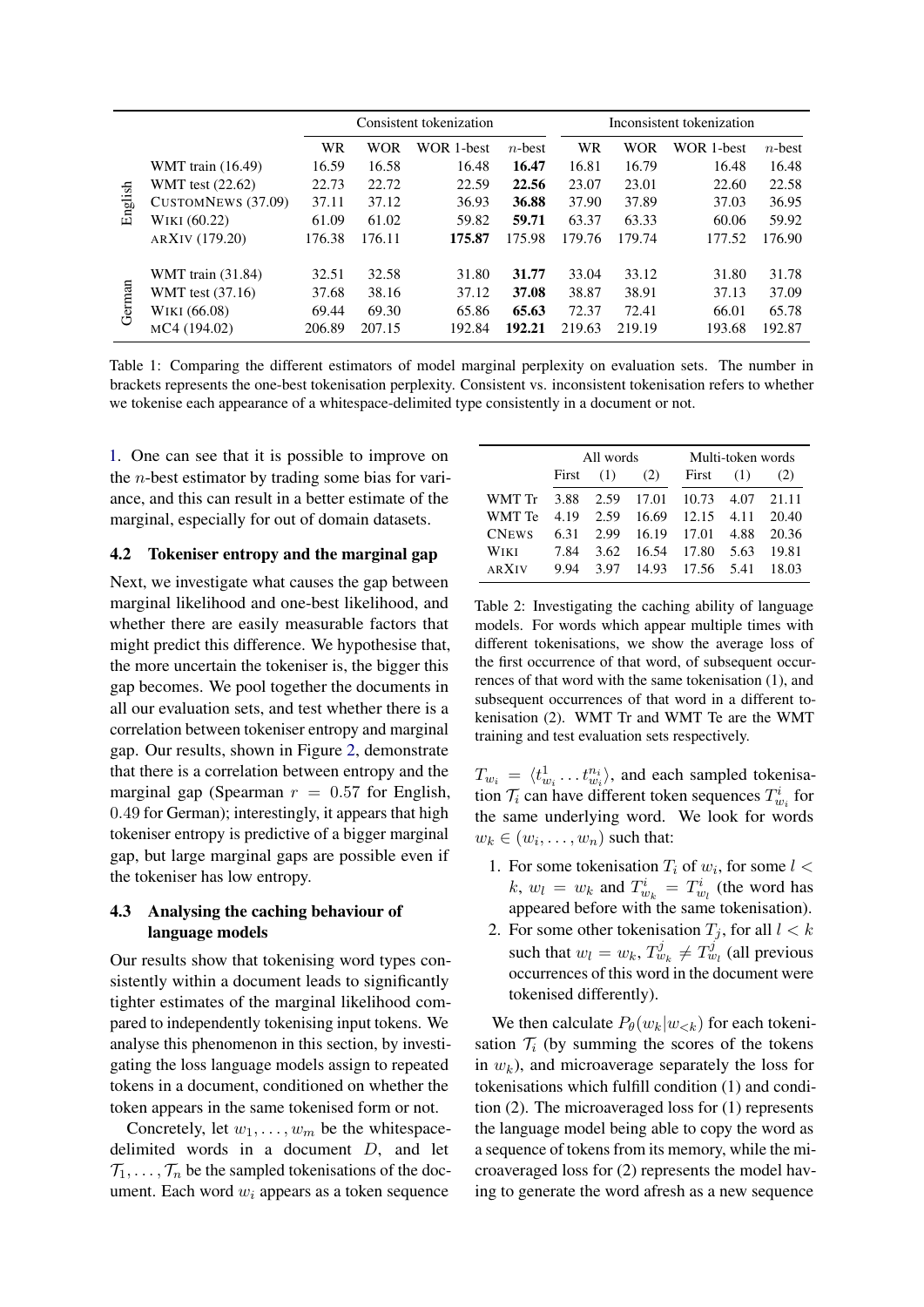<span id="page-5-1"></span>

|         |                          |        | Consistent tokenization |            |           |           | Inconsistent tokenization |            |           |  |
|---------|--------------------------|--------|-------------------------|------------|-----------|-----------|---------------------------|------------|-----------|--|
|         |                          | WR     | WOR                     | WOR 1-best | $n$ -best | <b>WR</b> | <b>WOR</b>                | WOR 1-best | $n$ -best |  |
| English | WMT train $(16.49)$      | 16.59  | 16.58                   | 16.48      | 16.47     | 16.81     | 16.79                     | 16.48      | 16.48     |  |
|         | WMT test (22.62)         | 22.73  | 22.72                   | 22.59      | 22.56     | 23.07     | 23.01                     | 22.60      | 22.58     |  |
|         | CUSTOMNEWS (37.09)       | 37.11  | 37.12                   | 36.93      | 36.88     | 37.90     | 37.89                     | 37.03      | 36.95     |  |
|         | WIKI (60.22)             | 61.09  | 61.02                   | 59.82      | 59.71     | 63.37     | 63.33                     | 60.06      | 59.92     |  |
|         | ARXIV (179.20)           | 176.38 | 176.11                  | 175.87     | 175.98    | 179.76    | 179.74                    | 177.52     | 176.90    |  |
|         |                          |        |                         |            |           |           |                           |            |           |  |
| German  | <b>WMT</b> train (31.84) | 32.51  | 32.58                   | 31.80      | 31.77     | 33.04     | 33.12                     | 31.80      | 31.78     |  |
|         | WMT test (37.16)         | 37.68  | 38.16                   | 37.12      | 37.08     | 38.87     | 38.91                     | 37.13      | 37.09     |  |
|         | WIKI (66.08)             | 69.44  | 69.30                   | 65.86      | 65.63     | 72.37     | 72.41                     | 66.01      | 65.78     |  |
|         | MC4 (194.02)             | 206.89 | 207.15                  | 192.84     | 192.21    | 219.63    | 219.19                    | 193.68     | 192.87    |  |

Table 1: Comparing the different estimators of model marginal perplexity on evaluation sets. The number in brackets represents the one-best tokenisation perplexity. Consistent vs. inconsistent tokenisation refers to whether we tokenise each appearance of a whitespace-delimited type consistently in a document or not.

[1.](#page-4-1) One can see that it is possible to improve on the n-best estimator by trading some bias for variance, and this can result in a better estimate of the marginal, especially for out of domain datasets.

#### 4.2 Tokeniser entropy and the marginal gap

Next, we investigate what causes the gap between marginal likelihood and one-best likelihood, and whether there are easily measurable factors that might predict this difference. We hypothesise that, the more uncertain the tokeniser is, the bigger this gap becomes. We pool together the documents in all our evaluation sets, and test whether there is a correlation between tokeniser entropy and marginal gap. Our results, shown in Figure [2,](#page-6-0) demonstrate that there is a correlation between entropy and the marginal gap (Spearman  $r = 0.57$  for English, 0.49 for German); interestingly, it appears that high tokeniser entropy is predictive of a bigger marginal gap, but large marginal gaps are possible even if the tokeniser has low entropy.

## <span id="page-5-0"></span>4.3 Analysing the caching behaviour of language models

Our results show that tokenising word types consistently within a document leads to significantly tighter estimates of the marginal likelihood compared to independently tokenising input tokens. We analyse this phenomenon in this section, by investigating the loss language models assign to repeated tokens in a document, conditioned on whether the token appears in the same tokenised form or not.

Concretely, let  $w_1, \ldots, w_m$  be the whitespacedelimited words in a document D, and let  $\mathcal{T}_1, \ldots, \mathcal{T}_n$  be the sampled tokenisations of the document. Each word  $w_i$  appears as a token sequence

<span id="page-5-2"></span>

|                                         |      | All words   |     | Multi-token words                |  |     |  |  |
|-----------------------------------------|------|-------------|-----|----------------------------------|--|-----|--|--|
|                                         |      | First $(1)$ | (2) | First $(1)$                      |  | (2) |  |  |
| WMT Tr 3.88 2.59 17.01 10.73 4.07 21.11 |      |             |     |                                  |  |     |  |  |
| WMT Te 4.19 2.59 16.69 12.15 4.11 20.40 |      |             |     |                                  |  |     |  |  |
| <b>CNEWS</b>                            |      |             |     | 6.31 2.99 16.19 17.01 4.88 20.36 |  |     |  |  |
| <b>WIKI</b>                             |      |             |     | 7.84 3.62 16.54 17.80 5.63 19.81 |  |     |  |  |
| <b>ARXIV</b>                            | 9.94 |             |     | 3.97 14.93 17.56 5.41 18.03      |  |     |  |  |

Table 2: Investigating the caching ability of language models. For words which appear multiple times with different tokenisations, we show the average loss of the first occurrence of that word, of subsequent occurrences of that word with the same tokenisation (1), and subsequent occurrences of that word in a different tokenisation (2). WMT Tr and WMT Te are the WMT training and test evaluation sets respectively.

 $T_{w_i} = \langle t^1_{w_i} \dots t^{n_i}_{w_i} \rangle$ , and each sampled tokenisation  $\mathcal{T}_i$  can have different token sequences  $T^i_{w_i}$  for the same underlying word. We look for words  $w_k \in (w_i, \ldots, w_n)$  such that:

- 1. For some tokenisation  $T_i$  of  $w_i$ , for some  $l <$ k,  $w_l = w_k$  and  $T_{w_k}^i = T_{w_l}^i$  (the word has appeared before with the same tokenisation).
- 2. For some other tokenisation  $T_i$ , for all  $l < k$ such that  $w_l = w_k$ ,  $T_{w_k}^j \neq T_{w_l}^j$  (all previous occurrences of this word in the document were tokenised differently).

We then calculate  $P_{\theta}(w_k|w_{< k})$  for each tokenisation  $\mathcal{T}_i$  (by summing the scores of the tokens in  $w_k$ ), and microaverage separately the loss for tokenisations which fulfill condition (1) and condition (2). The microaveraged loss for (1) represents the language model being able to copy the word as a sequence of tokens from its memory, while the microaveraged loss for (2) represents the model having to generate the word afresh as a new sequence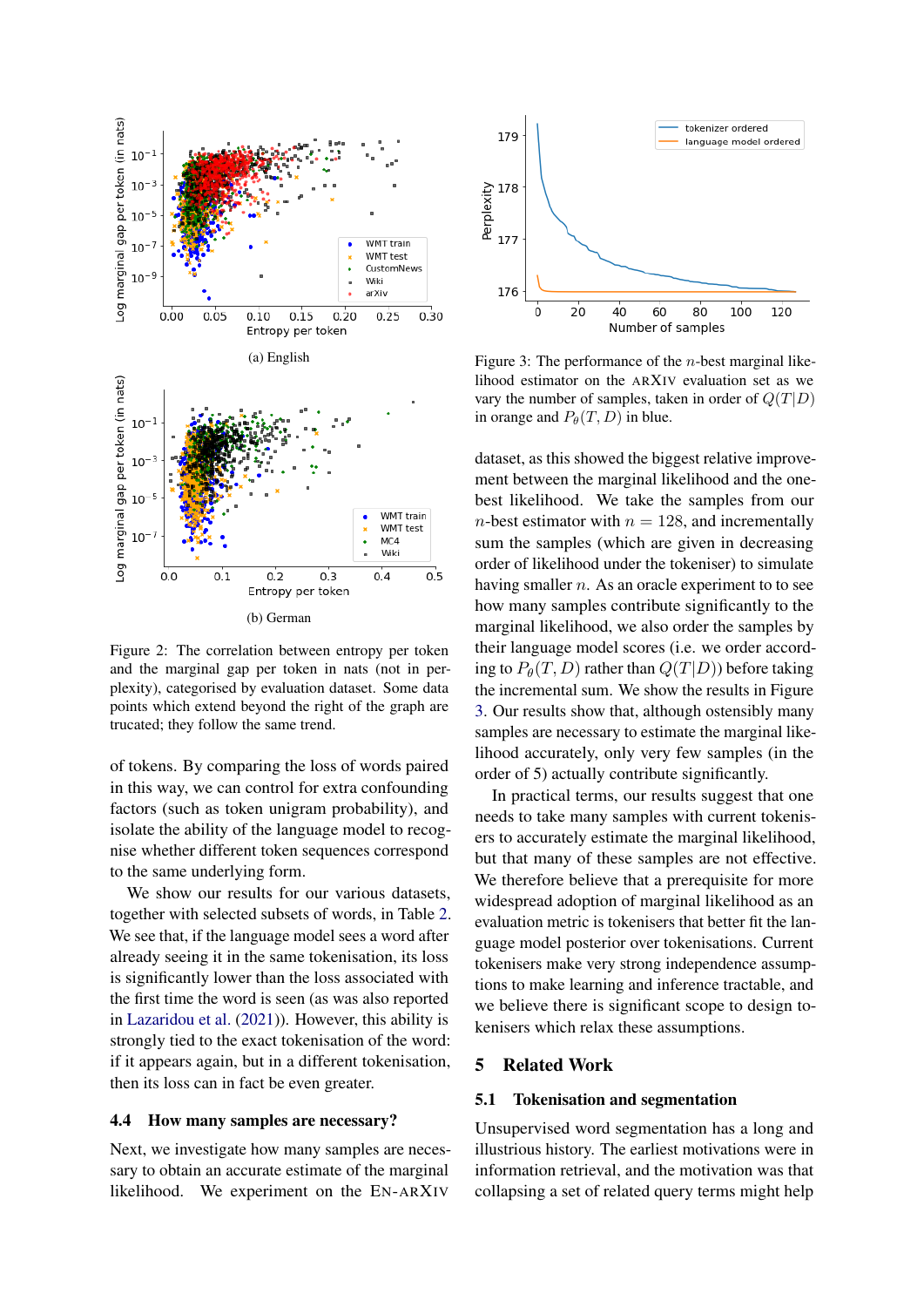<span id="page-6-0"></span>

Figure 2: The correlation between entropy per token and the marginal gap per token in nats (not in perplexity), categorised by evaluation dataset. Some data points which extend beyond the right of the graph are trucated; they follow the same trend.

of tokens. By comparing the loss of words paired in this way, we can control for extra confounding factors (such as token unigram probability), and isolate the ability of the language model to recognise whether different token sequences correspond to the same underlying form.

We show our results for our various datasets, together with selected subsets of words, in Table [2.](#page-5-2) We see that, if the language model sees a word after already seeing it in the same tokenisation, its loss is significantly lower than the loss associated with the first time the word is seen (as was also reported in [Lazaridou et al.](#page-9-3) [\(2021\)](#page-9-3)). However, this ability is strongly tied to the exact tokenisation of the word: if it appears again, but in a different tokenisation, then its loss can in fact be even greater.

#### 4.4 How many samples are necessary?

Next, we investigate how many samples are necessary to obtain an accurate estimate of the marginal likelihood. We experiment on the EN-ARXIV

<span id="page-6-1"></span>

Figure 3: The performance of the *n*-best marginal likelihood estimator on the ARXIV evaluation set as we vary the number of samples, taken in order of  $Q(T|D)$ in orange and  $P_{\theta}(T, D)$  in blue.

dataset, as this showed the biggest relative improvement between the marginal likelihood and the onebest likelihood. We take the samples from our *n*-best estimator with  $n = 128$ , and incrementally sum the samples (which are given in decreasing order of likelihood under the tokeniser) to simulate having smaller  $n$ . As an oracle experiment to to see how many samples contribute significantly to the marginal likelihood, we also order the samples by their language model scores (i.e. we order according to  $P_{\theta}(T, D)$  rather than  $Q(T|D)$ ) before taking the incremental sum. We show the results in Figure [3.](#page-6-1) Our results show that, although ostensibly many samples are necessary to estimate the marginal likelihood accurately, only very few samples (in the order of 5) actually contribute significantly.

In practical terms, our results suggest that one needs to take many samples with current tokenisers to accurately estimate the marginal likelihood, but that many of these samples are not effective. We therefore believe that a prerequisite for more widespread adoption of marginal likelihood as an evaluation metric is tokenisers that better fit the language model posterior over tokenisations. Current tokenisers make very strong independence assumptions to make learning and inference tractable, and we believe there is significant scope to design tokenisers which relax these assumptions.

### 5 Related Work

#### 5.1 Tokenisation and segmentation

Unsupervised word segmentation has a long and illustrious history. The earliest motivations were in information retrieval, and the motivation was that collapsing a set of related query terms might help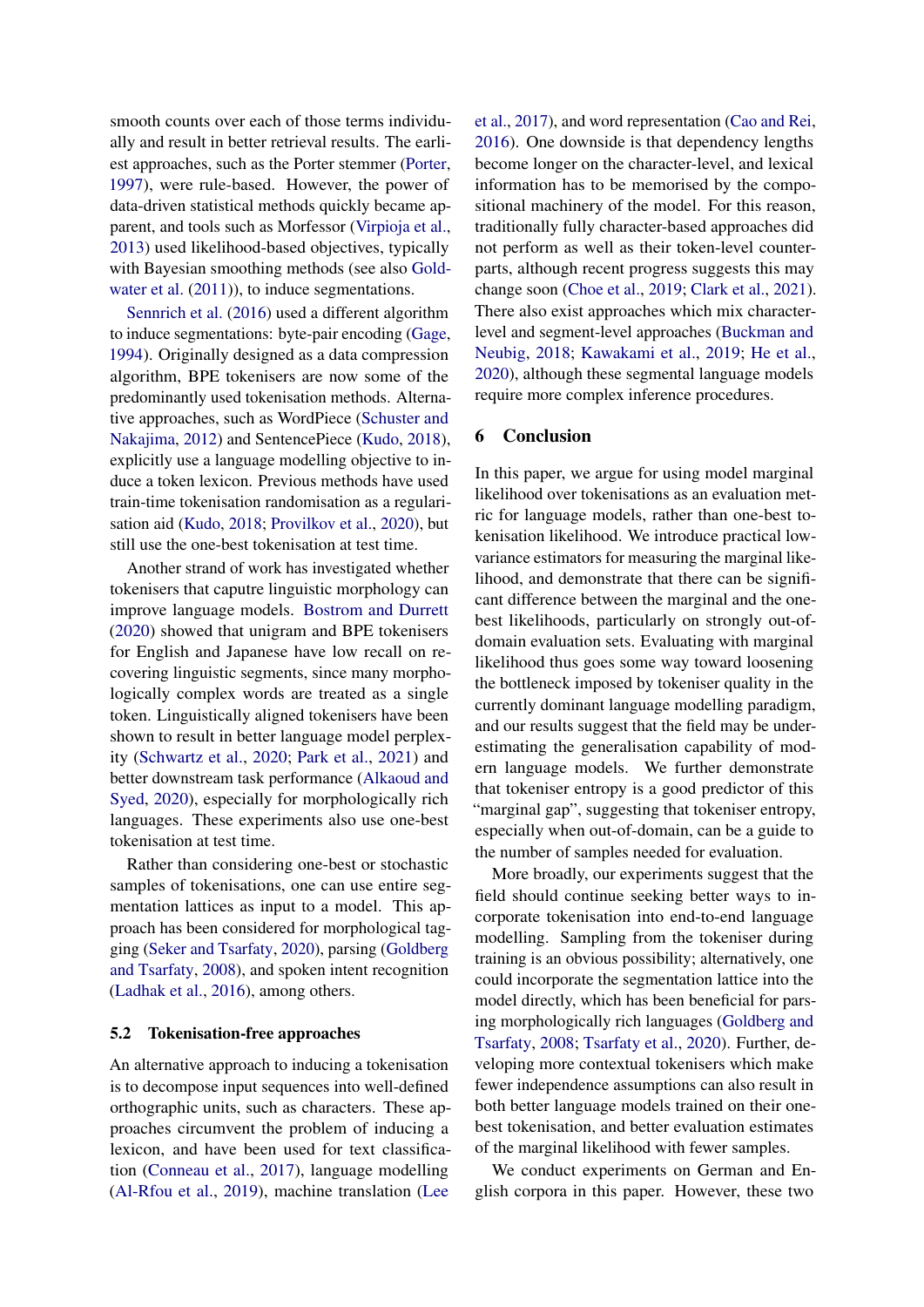smooth counts over each of those terms individually and result in better retrieval results. The earliest approaches, such as the Porter stemmer [\(Porter,](#page-9-11) [1997\)](#page-9-11), were rule-based. However, the power of data-driven statistical methods quickly became apparent, and tools such as Morfessor [\(Virpioja et al.,](#page-10-2) [2013\)](#page-10-2) used likelihood-based objectives, typically with Bayesian smoothing methods (see also [Gold](#page-9-4)[water et al.](#page-9-4)  $(2011)$ , to induce segmentations.

[Sennrich et al.](#page-10-0) [\(2016\)](#page-10-0) used a different algorithm to induce segmentations: byte-pair encoding [\(Gage,](#page-9-12) [1994\)](#page-9-12). Originally designed as a data compression algorithm, BPE tokenisers are now some of the predominantly used tokenisation methods. Alternative approaches, such as WordPiece [\(Schuster and](#page-10-3) [Nakajima,](#page-10-3) [2012\)](#page-10-3) and SentencePiece [\(Kudo,](#page-9-0) [2018\)](#page-9-0), explicitly use a language modelling objective to induce a token lexicon. Previous methods have used train-time tokenisation randomisation as a regularisation aid [\(Kudo,](#page-9-0) [2018;](#page-9-0) [Provilkov et al.,](#page-9-13) [2020\)](#page-9-13), but still use the one-best tokenisation at test time.

Another strand of work has investigated whether tokenisers that caputre linguistic morphology can improve language models. [Bostrom and Durrett](#page-8-0) [\(2020\)](#page-8-0) showed that unigram and BPE tokenisers for English and Japanese have low recall on recovering linguistic segments, since many morphologically complex words are treated as a single token. Linguistically aligned tokenisers have been shown to result in better language model perplexity [\(Schwartz et al.,](#page-10-4) [2020;](#page-10-4) [Park et al.,](#page-9-14) [2021\)](#page-9-14) and better downstream task performance [\(Alkaoud and](#page-8-6) [Syed,](#page-8-6) [2020\)](#page-8-6), especially for morphologically rich languages. These experiments also use one-best tokenisation at test time.

Rather than considering one-best or stochastic samples of tokenisations, one can use entire segmentation lattices as input to a model. This approach has been considered for morphological tagging [\(Seker and Tsarfaty,](#page-10-5) [2020\)](#page-10-5), parsing [\(Goldberg](#page-9-15) [and Tsarfaty,](#page-9-15) [2008\)](#page-9-15), and spoken intent recognition [\(Ladhak et al.,](#page-9-16) [2016\)](#page-9-16), among others.

#### 5.2 Tokenisation-free approaches

An alternative approach to inducing a tokenisation is to decompose input sequences into well-defined orthographic units, such as characters. These approaches circumvent the problem of inducing a lexicon, and have been used for text classification [\(Conneau et al.,](#page-8-7) [2017\)](#page-8-7), language modelling [\(Al-Rfou et al.,](#page-8-8) [2019\)](#page-8-8), machine translation [\(Lee](#page-9-17)

[et al.,](#page-9-17) [2017\)](#page-9-17), and word representation [\(Cao and Rei,](#page-8-9) [2016\)](#page-8-9). One downside is that dependency lengths become longer on the character-level, and lexical information has to be memorised by the compositional machinery of the model. For this reason, traditionally fully character-based approaches did not perform as well as their token-level counterparts, although recent progress suggests this may change soon [\(Choe et al.,](#page-8-10) [2019;](#page-8-10) [Clark et al.,](#page-8-11) [2021\)](#page-8-11). There also exist approaches which mix characterlevel and segment-level approaches [\(Buckman and](#page-8-12) [Neubig,](#page-8-12) [2018;](#page-8-12) [Kawakami et al.,](#page-9-18) [2019;](#page-9-18) [He et al.,](#page-9-19) [2020\)](#page-9-19), although these segmental language models require more complex inference procedures.

### 6 Conclusion

In this paper, we argue for using model marginal likelihood over tokenisations as an evaluation metric for language models, rather than one-best tokenisation likelihood. We introduce practical lowvariance estimators for measuring the marginal likelihood, and demonstrate that there can be significant difference between the marginal and the onebest likelihoods, particularly on strongly out-ofdomain evaluation sets. Evaluating with marginal likelihood thus goes some way toward loosening the bottleneck imposed by tokeniser quality in the currently dominant language modelling paradigm, and our results suggest that the field may be underestimating the generalisation capability of modern language models. We further demonstrate that tokeniser entropy is a good predictor of this "marginal gap", suggesting that tokeniser entropy, especially when out-of-domain, can be a guide to the number of samples needed for evaluation.

More broadly, our experiments suggest that the field should continue seeking better ways to incorporate tokenisation into end-to-end language modelling. Sampling from the tokeniser during training is an obvious possibility; alternatively, one could incorporate the segmentation lattice into the model directly, which has been beneficial for parsing morphologically rich languages [\(Goldberg and](#page-9-15) [Tsarfaty,](#page-9-15) [2008;](#page-9-15) [Tsarfaty et al.,](#page-10-6) [2020\)](#page-10-6). Further, developing more contextual tokenisers which make fewer independence assumptions can also result in both better language models trained on their onebest tokenisation, and better evaluation estimates of the marginal likelihood with fewer samples.

We conduct experiments on German and English corpora in this paper. However, these two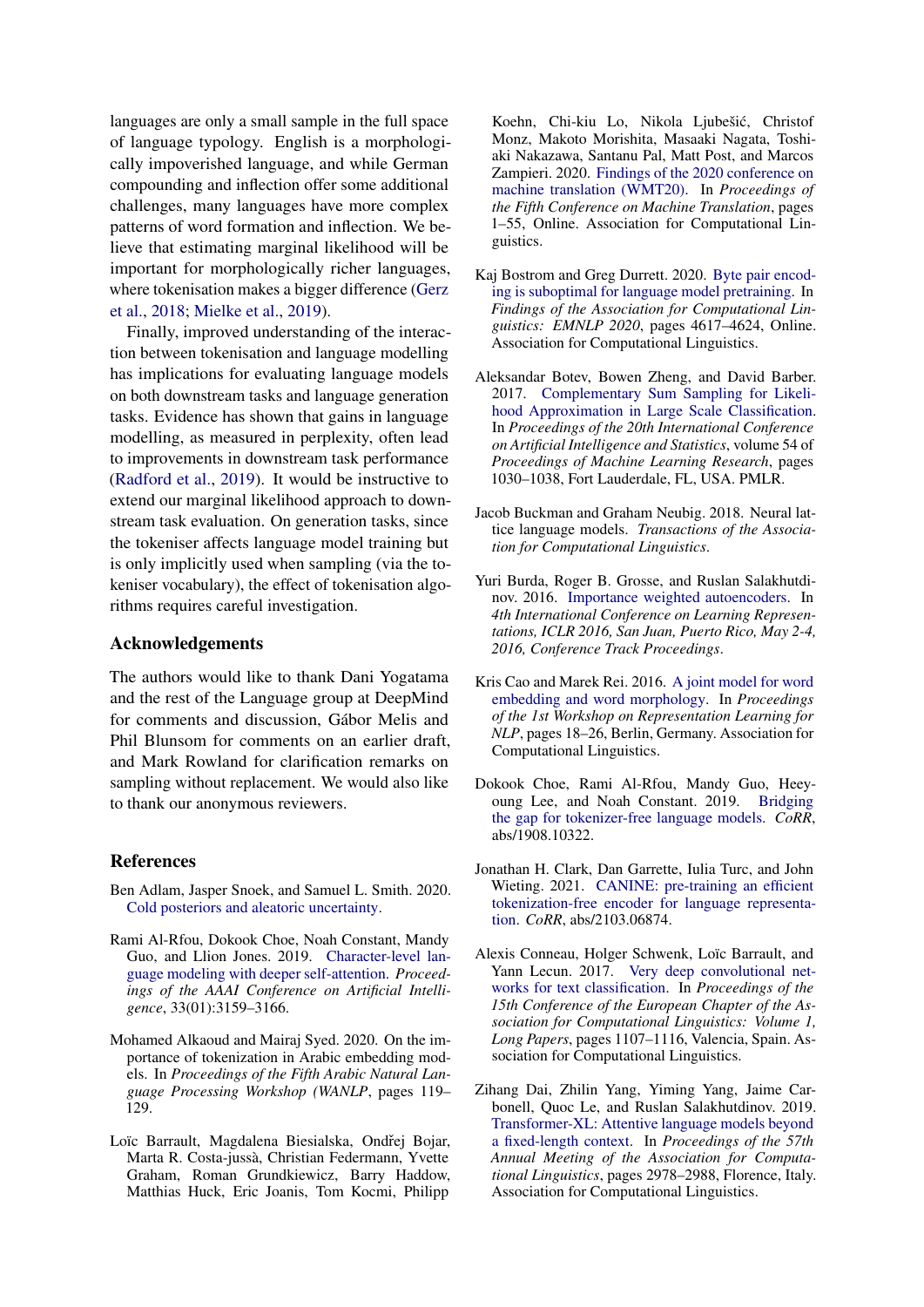languages are only a small sample in the full space of language typology. English is a morphologically impoverished language, and while German compounding and inflection offer some additional challenges, many languages have more complex patterns of word formation and inflection. We believe that estimating marginal likelihood will be important for morphologically richer languages, where tokenisation makes a bigger difference [\(Gerz](#page-9-20) [et al.,](#page-9-20) [2018;](#page-9-20) [Mielke et al.,](#page-9-21) [2019\)](#page-9-21).

Finally, improved understanding of the interaction between tokenisation and language modelling has implications for evaluating language models on both downstream tasks and language generation tasks. Evidence has shown that gains in language modelling, as measured in perplexity, often lead to improvements in downstream task performance [\(Radford et al.,](#page-10-7) [2019\)](#page-10-7). It would be instructive to extend our marginal likelihood approach to downstream task evaluation. On generation tasks, since the tokeniser affects language model training but is only implicitly used when sampling (via the tokeniser vocabulary), the effect of tokenisation algorithms requires careful investigation.

#### Acknowledgements

The authors would like to thank Dani Yogatama and the rest of the Language group at DeepMind for comments and discussion, Gábor Melis and Phil Blunsom for comments on an earlier draft, and Mark Rowland for clarification remarks on sampling without replacement. We would also like to thank our anonymous reviewers.

#### References

- <span id="page-8-5"></span>Ben Adlam, Jasper Snoek, and Samuel L. Smith. 2020. [Cold posteriors and aleatoric uncertainty.](http://arxiv.org/abs/2008.00029)
- <span id="page-8-8"></span>Rami Al-Rfou, Dokook Choe, Noah Constant, Mandy Guo, and Llion Jones. 2019. [Character-level lan](https://doi.org/10.1609/aaai.v33i01.33013159)[guage modeling with deeper self-attention.](https://doi.org/10.1609/aaai.v33i01.33013159) *Proceedings of the AAAI Conference on Artificial Intelligence*, 33(01):3159–3166.
- <span id="page-8-6"></span>Mohamed Alkaoud and Mairaj Syed. 2020. On the importance of tokenization in Arabic embedding models. In *Proceedings of the Fifth Arabic Natural Language Processing Workshop (WANLP*, pages 119– 129.
- <span id="page-8-3"></span>Loïc Barrault, Magdalena Biesialska, Ondřej Bojar, Marta R. Costa-jussà, Christian Federmann, Yvette Graham, Roman Grundkiewicz, Barry Haddow, Matthias Huck, Eric Joanis, Tom Kocmi, Philipp

Koehn, Chi-kiu Lo, Nikola Ljubešic, Christof ´ Monz, Makoto Morishita, Masaaki Nagata, Toshiaki Nakazawa, Santanu Pal, Matt Post, and Marcos Zampieri. 2020. [Findings of the 2020 conference on](https://www.aclweb.org/anthology/2020.wmt-1.1) [machine translation \(WMT20\).](https://www.aclweb.org/anthology/2020.wmt-1.1) In *Proceedings of the Fifth Conference on Machine Translation*, pages 1–55, Online. Association for Computational Linguistics.

- <span id="page-8-0"></span>Kaj Bostrom and Greg Durrett. 2020. [Byte pair encod](https://doi.org/10.18653/v1/2020.findings-emnlp.414)[ing is suboptimal for language model pretraining.](https://doi.org/10.18653/v1/2020.findings-emnlp.414) In *Findings of the Association for Computational Linguistics: EMNLP 2020*, pages 4617–4624, Online. Association for Computational Linguistics.
- <span id="page-8-2"></span>Aleksandar Botev, Bowen Zheng, and David Barber. 2017. [Complementary Sum Sampling for Likeli](http://proceedings.mlr.press/v54/botev17a.html)[hood Approximation in Large Scale Classification.](http://proceedings.mlr.press/v54/botev17a.html) In *Proceedings of the 20th International Conference on Artificial Intelligence and Statistics*, volume 54 of *Proceedings of Machine Learning Research*, pages 1030–1038, Fort Lauderdale, FL, USA. PMLR.
- <span id="page-8-12"></span>Jacob Buckman and Graham Neubig. 2018. Neural lattice language models. *Transactions of the Association for Computational Linguistics*.
- <span id="page-8-1"></span>Yuri Burda, Roger B. Grosse, and Ruslan Salakhutdinov. 2016. [Importance weighted autoencoders.](http://arxiv.org/abs/1509.00519) In *4th International Conference on Learning Representations, ICLR 2016, San Juan, Puerto Rico, May 2-4, 2016, Conference Track Proceedings*.
- <span id="page-8-9"></span>Kris Cao and Marek Rei. 2016. [A joint model for word](https://doi.org/10.18653/v1/W16-1603) [embedding and word morphology.](https://doi.org/10.18653/v1/W16-1603) In *Proceedings of the 1st Workshop on Representation Learning for NLP*, pages 18–26, Berlin, Germany. Association for Computational Linguistics.
- <span id="page-8-10"></span>Dokook Choe, Rami Al-Rfou, Mandy Guo, Heeyoung Lee, and Noah Constant. 2019. [Bridging](http://arxiv.org/abs/1908.10322) [the gap for tokenizer-free language models.](http://arxiv.org/abs/1908.10322) *CoRR*, abs/1908.10322.
- <span id="page-8-11"></span>Jonathan H. Clark, Dan Garrette, Iulia Turc, and John Wieting. 2021. [CANINE: pre-training an efficient](http://arxiv.org/abs/2103.06874) [tokenization-free encoder for language representa](http://arxiv.org/abs/2103.06874)[tion.](http://arxiv.org/abs/2103.06874) *CoRR*, abs/2103.06874.
- <span id="page-8-7"></span>Alexis Conneau, Holger Schwenk, Loïc Barrault, and Yann Lecun. 2017. [Very deep convolutional net](https://www.aclweb.org/anthology/E17-1104)[works for text classification.](https://www.aclweb.org/anthology/E17-1104) In *Proceedings of the 15th Conference of the European Chapter of the Association for Computational Linguistics: Volume 1, Long Papers*, pages 1107–1116, Valencia, Spain. Association for Computational Linguistics.
- <span id="page-8-4"></span>Zihang Dai, Zhilin Yang, Yiming Yang, Jaime Carbonell, Quoc Le, and Ruslan Salakhutdinov. 2019. [Transformer-XL: Attentive language models beyond](https://doi.org/10.18653/v1/P19-1285) [a fixed-length context.](https://doi.org/10.18653/v1/P19-1285) In *Proceedings of the 57th Annual Meeting of the Association for Computational Linguistics*, pages 2978–2988, Florence, Italy. Association for Computational Linguistics.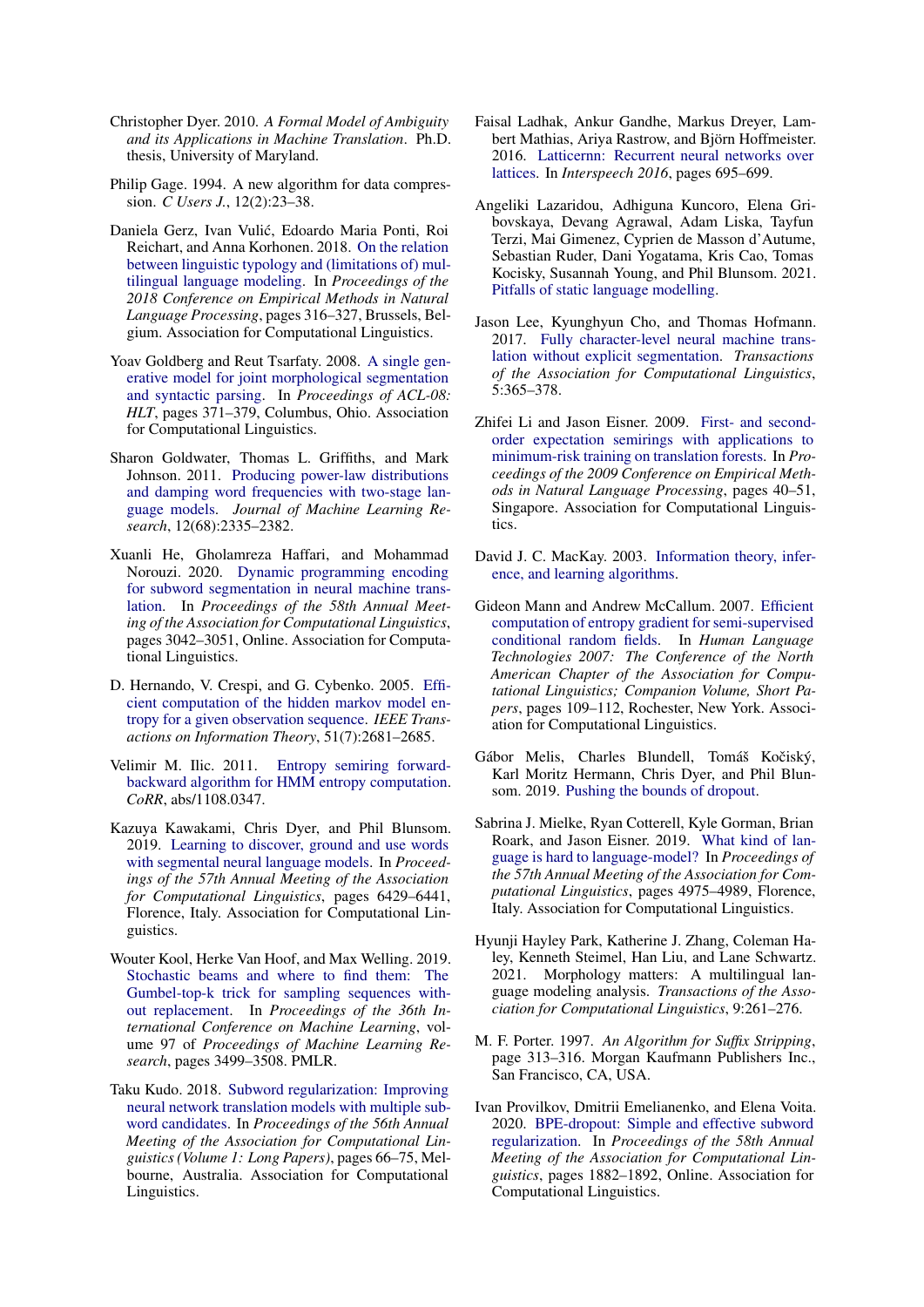- <span id="page-9-1"></span>Christopher Dyer. 2010. *A Formal Model of Ambiguity and its Applications in Machine Translation*. Ph.D. thesis, University of Maryland.
- <span id="page-9-12"></span>Philip Gage. 1994. A new algorithm for data compression. *C Users J.*, 12(2):23–38.
- <span id="page-9-20"></span>Daniela Gerz, Ivan Vulic, Edoardo Maria Ponti, Roi ´ Reichart, and Anna Korhonen. 2018. [On the relation](https://doi.org/10.18653/v1/D18-1029) [between linguistic typology and \(limitations of\) mul](https://doi.org/10.18653/v1/D18-1029)[tilingual language modeling.](https://doi.org/10.18653/v1/D18-1029) In *Proceedings of the 2018 Conference on Empirical Methods in Natural Language Processing*, pages 316–327, Brussels, Belgium. Association for Computational Linguistics.
- <span id="page-9-15"></span>Yoav Goldberg and Reut Tsarfaty. 2008. [A single gen](https://www.aclweb.org/anthology/P08-1043)[erative model for joint morphological segmentation](https://www.aclweb.org/anthology/P08-1043) [and syntactic parsing.](https://www.aclweb.org/anthology/P08-1043) In *Proceedings of ACL-08: HLT*, pages 371–379, Columbus, Ohio. Association for Computational Linguistics.
- <span id="page-9-4"></span>Sharon Goldwater, Thomas L. Griffiths, and Mark Johnson. 2011. [Producing power-law distributions](http://jmlr.org/papers/v12/goldwater11a.html) [and damping word frequencies with two-stage lan](http://jmlr.org/papers/v12/goldwater11a.html)[guage models.](http://jmlr.org/papers/v12/goldwater11a.html) *Journal of Machine Learning Research*, 12(68):2335–2382.
- <span id="page-9-19"></span>Xuanli He, Gholamreza Haffari, and Mohammad Norouzi. 2020. [Dynamic programming encoding](https://doi.org/10.18653/v1/2020.acl-main.275) [for subword segmentation in neural machine trans](https://doi.org/10.18653/v1/2020.acl-main.275)[lation.](https://doi.org/10.18653/v1/2020.acl-main.275) In *Proceedings of the 58th Annual Meeting of the Association for Computational Linguistics*, pages 3042–3051, Online. Association for Computational Linguistics.
- <span id="page-9-6"></span>D. Hernando, V. Crespi, and G. Cybenko. 2005. [Effi](https://doi.org/10.1109/TIT.2005.850223)[cient computation of the hidden markov model en](https://doi.org/10.1109/TIT.2005.850223)[tropy for a given observation sequence.](https://doi.org/10.1109/TIT.2005.850223) *IEEE Transactions on Information Theory*, 51(7):2681–2685.
- <span id="page-9-8"></span>Velimir M. Ilic. 2011. [Entropy semiring forward](http://arxiv.org/abs/1108.0347)[backward algorithm for HMM entropy computation.](http://arxiv.org/abs/1108.0347) *CoRR*, abs/1108.0347.
- <span id="page-9-18"></span>Kazuya Kawakami, Chris Dyer, and Phil Blunsom. 2019. [Learning to discover, ground and use words](https://doi.org/10.18653/v1/P19-1645) [with segmental neural language models.](https://doi.org/10.18653/v1/P19-1645) In *Proceedings of the 57th Annual Meeting of the Association for Computational Linguistics*, pages 6429–6441, Florence, Italy. Association for Computational Linguistics.
- <span id="page-9-5"></span>Wouter Kool, Herke Van Hoof, and Max Welling. 2019. [Stochastic beams and where to find them: The](http://proceedings.mlr.press/v97/kool19a.html) [Gumbel-top-k trick for sampling sequences with](http://proceedings.mlr.press/v97/kool19a.html)[out replacement.](http://proceedings.mlr.press/v97/kool19a.html) In *Proceedings of the 36th International Conference on Machine Learning*, volume 97 of *Proceedings of Machine Learning Research*, pages 3499–3508. PMLR.
- <span id="page-9-0"></span>Taku Kudo. 2018. [Subword regularization: Improving](https://doi.org/10.18653/v1/P18-1007) [neural network translation models with multiple sub](https://doi.org/10.18653/v1/P18-1007)[word candidates.](https://doi.org/10.18653/v1/P18-1007) In *Proceedings of the 56th Annual Meeting of the Association for Computational Linguistics (Volume 1: Long Papers)*, pages 66–75, Melbourne, Australia. Association for Computational Linguistics.
- <span id="page-9-16"></span>Faisal Ladhak, Ankur Gandhe, Markus Dreyer, Lambert Mathias, Ariya Rastrow, and Björn Hoffmeister. 2016. [Latticernn: Recurrent neural networks over](https://doi.org/10.21437/Interspeech.2016-1583) [lattices.](https://doi.org/10.21437/Interspeech.2016-1583) In *Interspeech 2016*, pages 695–699.
- <span id="page-9-3"></span>Angeliki Lazaridou, Adhiguna Kuncoro, Elena Gribovskaya, Devang Agrawal, Adam Liska, Tayfun Terzi, Mai Gimenez, Cyprien de Masson d'Autume, Sebastian Ruder, Dani Yogatama, Kris Cao, Tomas Kocisky, Susannah Young, and Phil Blunsom. 2021. [Pitfalls of static language modelling.](http://arxiv.org/abs/2102.01951)
- <span id="page-9-17"></span>Jason Lee, Kyunghyun Cho, and Thomas Hofmann. 2017. [Fully character-level neural machine trans](https://doi.org/10.1162/tacl_a_00067)[lation without explicit segmentation.](https://doi.org/10.1162/tacl_a_00067) *Transactions of the Association for Computational Linguistics*, 5:365–378.
- <span id="page-9-9"></span>Zhifei Li and Jason Eisner. 2009. [First- and second](https://www.aclweb.org/anthology/D09-1005)[order expectation semirings with applications to](https://www.aclweb.org/anthology/D09-1005) [minimum-risk training on translation forests.](https://www.aclweb.org/anthology/D09-1005) In *Proceedings of the 2009 Conference on Empirical Methods in Natural Language Processing*, pages 40–51, Singapore. Association for Computational Linguistics.
- <span id="page-9-2"></span>David J. C. MacKay. 2003. [Information theory, infer](http://www.inference.phy.cam.ac.uk/mackay/itila/)[ence, and learning algorithms.](http://www.inference.phy.cam.ac.uk/mackay/itila/)
- <span id="page-9-7"></span>Gideon Mann and Andrew McCallum. 2007. [Efficient](https://www.aclweb.org/anthology/N07-2028) [computation of entropy gradient for semi-supervised](https://www.aclweb.org/anthology/N07-2028) [conditional random fields.](https://www.aclweb.org/anthology/N07-2028) In *Human Language Technologies 2007: The Conference of the North American Chapter of the Association for Computational Linguistics; Companion Volume, Short Papers*, pages 109–112, Rochester, New York. Association for Computational Linguistics.
- <span id="page-9-10"></span>Gábor Melis, Charles Blundell, Tomáš Kočiský, Karl Moritz Hermann, Chris Dyer, and Phil Blunsom. 2019. [Pushing the bounds of dropout.](https://openreview.net/forum?id=rklwwo05Ym)
- <span id="page-9-21"></span>Sabrina J. Mielke, Ryan Cotterell, Kyle Gorman, Brian Roark, and Jason Eisner. 2019. [What kind of lan](https://doi.org/10.18653/v1/P19-1491)[guage is hard to language-model?](https://doi.org/10.18653/v1/P19-1491) In *Proceedings of the 57th Annual Meeting of the Association for Computational Linguistics*, pages 4975–4989, Florence, Italy. Association for Computational Linguistics.
- <span id="page-9-14"></span>Hyunji Hayley Park, Katherine J. Zhang, Coleman Haley, Kenneth Steimel, Han Liu, and Lane Schwartz. 2021. Morphology matters: A multilingual language modeling analysis. *Transactions of the Association for Computational Linguistics*, 9:261–276.
- <span id="page-9-11"></span>M. F. Porter. 1997. *An Algorithm for Suffix Stripping*, page 313–316. Morgan Kaufmann Publishers Inc., San Francisco, CA, USA.
- <span id="page-9-13"></span>Ivan Provilkov, Dmitrii Emelianenko, and Elena Voita. 2020. [BPE-dropout: Simple and effective subword](https://doi.org/10.18653/v1/2020.acl-main.170) [regularization.](https://doi.org/10.18653/v1/2020.acl-main.170) In *Proceedings of the 58th Annual Meeting of the Association for Computational Linguistics*, pages 1882–1892, Online. Association for Computational Linguistics.